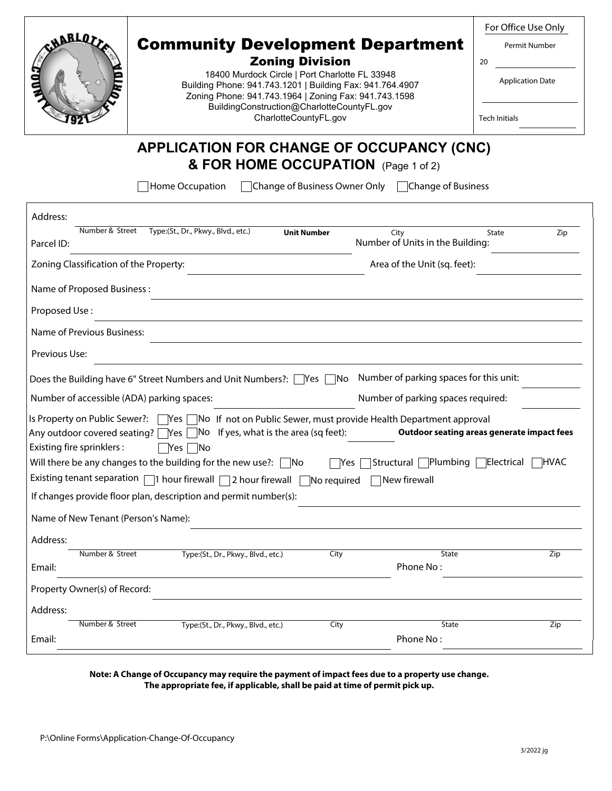|                                            |                                                                                                                                                                                                                                                                                         |                                                      | For Office Use Only                            |
|--------------------------------------------|-----------------------------------------------------------------------------------------------------------------------------------------------------------------------------------------------------------------------------------------------------------------------------------------|------------------------------------------------------|------------------------------------------------|
| <b>WBLOT</b>                               | <b>Community Development Department</b><br><b>Zoning Division</b><br>18400 Murdock Circle   Port Charlotte FL 33948<br>Building Phone: 941.743.1201   Building Fax: 941.764.4907<br>Zoning Phone: 941.743.1964   Zoning Fax: 941.743.1598<br>BuildingConstruction@CharlotteCountyFL.gov |                                                      | Permit Number<br>20<br><b>Application Date</b> |
|                                            | CharlotteCountyFL.gov                                                                                                                                                                                                                                                                   |                                                      | <b>Tech Initials</b>                           |
|                                            | <b>APPLICATION FOR CHANGE OF OCCUPANCY (CNC)</b>                                                                                                                                                                                                                                        |                                                      |                                                |
|                                            | & FOR HOME OCCUPATION (Page 1 of 2)                                                                                                                                                                                                                                                     |                                                      |                                                |
|                                            | Home Occupation                                                                                                                                                                                                                                                                         | □Change of Business Owner Only □ Change of Business  |                                                |
|                                            |                                                                                                                                                                                                                                                                                         |                                                      |                                                |
| Address:<br>Number & Street                | Type:(St., Dr., Pkwy., Blvd., etc.)<br><b>Unit Number</b>                                                                                                                                                                                                                               | City                                                 | State<br>Zip                                   |
| Parcel ID:                                 |                                                                                                                                                                                                                                                                                         | Number of Units in the Building:                     |                                                |
| Zoning Classification of the Property:     |                                                                                                                                                                                                                                                                                         | Area of the Unit (sq. feet):                         |                                                |
| Name of Proposed Business:                 |                                                                                                                                                                                                                                                                                         |                                                      |                                                |
| Proposed Use:                              |                                                                                                                                                                                                                                                                                         |                                                      |                                                |
| <b>Name of Previous Business:</b>          |                                                                                                                                                                                                                                                                                         |                                                      |                                                |
|                                            |                                                                                                                                                                                                                                                                                         |                                                      |                                                |
| Previous Use:                              |                                                                                                                                                                                                                                                                                         |                                                      |                                                |
|                                            | Does the Building have 6" Street Numbers and Unit Numbers?: [<br>Yes                                                                                                                                                                                                                    | Number of parking spaces for this unit:<br><b>No</b> |                                                |
| Number of accessible (ADA) parking spaces: |                                                                                                                                                                                                                                                                                         | Number of parking spaces required:                   |                                                |
|                                            | Is Property on Public Sewer?: \[Yes \[No \] If not on Public Sewer, must provide Health Department approval<br>Any outdoor covered seating? $\Box$ Yes $\Box$ No If yes, what is the area (sq feet):                                                                                    |                                                      | Outdoor seating areas generate impact fees     |
| Existing fire sprinklers :                 | $\Box$ Yes<br>  No                                                                                                                                                                                                                                                                      |                                                      |                                                |
|                                            | Will there be any changes to the building for the new use?: $\Box$ No                                                                                                                                                                                                                   | Structural Plumbing Electrical<br>Yes                | <b>HVAC</b>                                    |
|                                            | Existing tenant separation $\Box$ 1 hour firewall $\Box$ 2 hour firewall $\Box$ No required $\Box$ New firewall                                                                                                                                                                         |                                                      |                                                |
|                                            | If changes provide floor plan, description and permit number(s):                                                                                                                                                                                                                        |                                                      |                                                |
| Name of New Tenant (Person's Name):        |                                                                                                                                                                                                                                                                                         |                                                      |                                                |
| Address:                                   |                                                                                                                                                                                                                                                                                         |                                                      |                                                |
| Number & Street<br>Email:                  | Type:(St., Dr., Pkwy., Blvd., etc.)                                                                                                                                                                                                                                                     | City<br><b>State</b><br>Phone No:                    | Zip                                            |
| Property Owner(s) of Record:               |                                                                                                                                                                                                                                                                                         |                                                      |                                                |
|                                            |                                                                                                                                                                                                                                                                                         |                                                      |                                                |
| Address:<br>Number & Street                | Type:(St., Dr., Pkwy., Blvd., etc.)                                                                                                                                                                                                                                                     | City<br><b>State</b>                                 | Zip                                            |
| Email:                                     |                                                                                                                                                                                                                                                                                         | Phone No:                                            |                                                |

#### **Note: A Change of Occupancy may require the payment of impact fees due to a property use change. The appropriate fee, if applicable, shall be paid at time of permit pick up.**

Τ

٦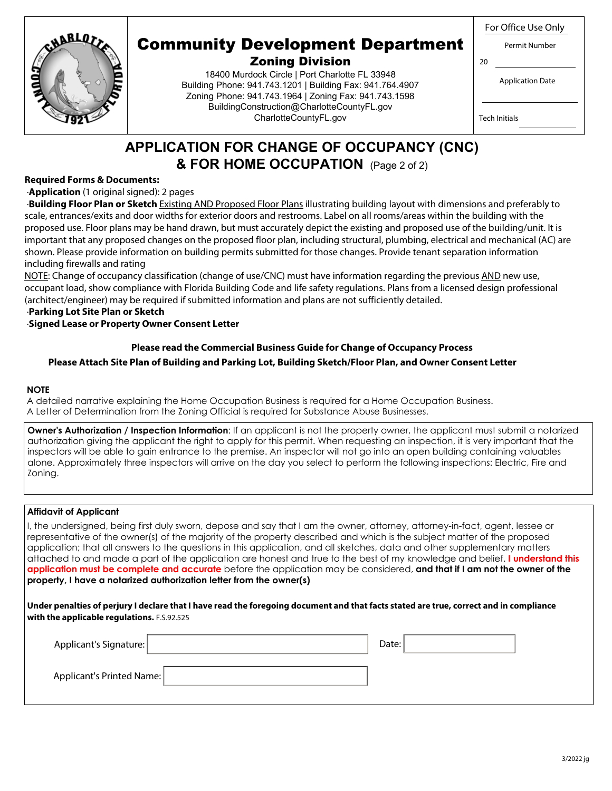



# Community Development Department

#### Zoning Division

18400 Murdock Circle | Port Charlotte FL 33948 Building Phone: 941.743.1201 | Building Fax: 941.764.4907 Zoning Phone: 941.743.1964 | Zoning Fax: 941.743.1598 BuildingConstruction@CharlotteCountyFL.gov CharlotteCountyFL.gov

| <b>Application Date</b> |  |
|-------------------------|--|

Permit Number

Tech Initials

20

## **APPLICATION FOR CHANGE OF OCCUPANCY (CNC) & FOR HOME OCCUPATION** (Page 2 of 2)

#### **Required Forms & Documents:**

#### ·**Application** (1 original signed): 2 pages

 ·**Building Floor Plan or Sketch** Existing AND Proposed Floor Plans illustrating building layout with dimensions and preferably to scale, entrances/exits and door widths for exterior doors and restrooms. Label on all rooms/areas within the building with the proposed use. Floor plans may be hand drawn, but must accurately depict the existing and proposed use of the building/unit. It is important that any proposed changes on the proposed floor plan, including structural, plumbing, electrical and mechanical (AC) are shown. Please provide information on building permits submitted for those changes. Provide tenant separation information including firewalls and rating

NOTE: Change of occupancy classification (change of use/CNC) must have information regarding the previous AND new use, occupant load, show compliance with Florida Building Code and life safety regulations. Plans from a licensed design professional (architect/engineer) may be required if submitted information and plans are not sufficiently detailed.

#### ·**Parking Lot Site Plan or Sketch**  ·**Signed Lease or Property Owner Consent Letter**

#### **Please Attach Site Plan of Building and Parking Lot, Building Sketch/Floor Plan, and Owner Consent Letter Please read the Commercial Business Guide for Change of Occupancy Process**

#### **NOTE**

A detailed narrative explaining the Home Occupation Business is required for a Home Occupation Business. A Letter of Determination from the Zoning Official is required for Substance Abuse Businesses.

**Owner's Authorization / Inspection Information**: If an applicant is not the property owner, the applicant must submit a notarized authorization giving the applicant the right to apply for this permit. When requesting an inspection, it is very important that the inspectors will be able to gain entrance to the premise. An inspector will not go into an open building containing valuables alone. Approximately three inspectors will arrive on the day you select to perform the following inspections: Electric, Fire and Zoning.

#### **Affidavit of Applicant**

 I, the undersigned, being first duly sworn, depose and say that I am the owner, attorney, attorney-in-fact, agent, lessee or representative of the owner(s) of the majority of the property described and which is the subject matter of the proposed application; that all answers to the questions in this application, and all sketches, data and other supplementary matters attached to and made a part of the application are honest and true to the best of my knowledge and belief. **I understand this application must be complete and accurate** before the application may be considered, **and that if I am not the owner of the property, I have a notarized authorization letter from the owner(s)** 

#### **Under penalties of perjury I declare that I have read the foregoing document and that facts stated are true, correct and in compliance with the applicable regulations.** F.S.92.525

| Applicant's Signature:    | Date: |  |
|---------------------------|-------|--|
| Applicant's Printed Name: |       |  |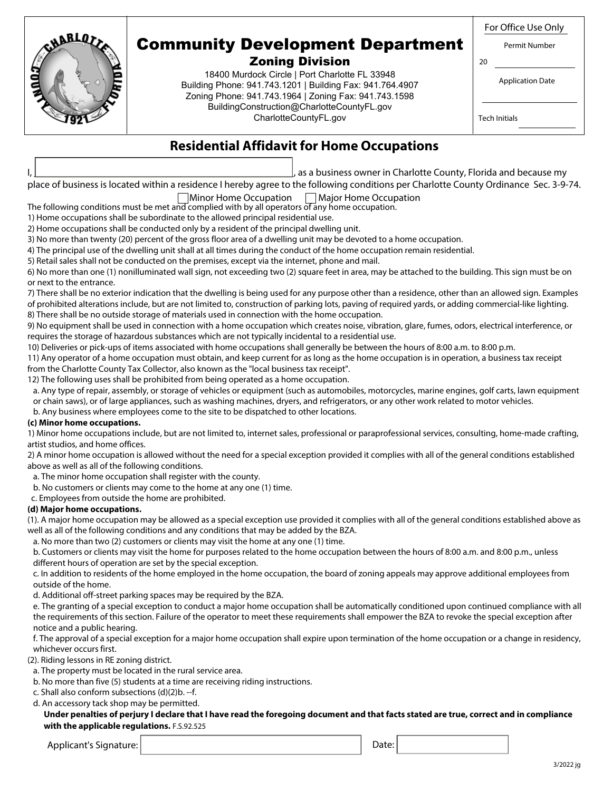| <b>NBBLOT</b>                                                                                                                                                         | <b>Community Development Department</b><br><b>Zoning Division</b><br>18400 Murdock Circle   Port Charlotte FL 33948<br>Building Phone: 941.743.1201   Building Fax: 941.764.4907<br>Zoning Phone: 941.743.1964   Zoning Fax: 941.743.1598<br>BuildingConstruction@CharlotteCountyFL.gov | For Office Use Only<br>Permit Number<br>20<br><b>Application Date</b> |  |  |
|-----------------------------------------------------------------------------------------------------------------------------------------------------------------------|-----------------------------------------------------------------------------------------------------------------------------------------------------------------------------------------------------------------------------------------------------------------------------------------|-----------------------------------------------------------------------|--|--|
| CharlotteCountyFL.gov<br><b>Tech Initials</b><br><b>Residential Affidavit for Home Occupations</b><br>as a business owner in Charlotte County, Florida and because my |                                                                                                                                                                                                                                                                                         |                                                                       |  |  |

| place of business is located within a residence I hereby agree to the following conditions per Charlotte County Ordinance Sec. 3-9-74. |  |
|----------------------------------------------------------------------------------------------------------------------------------------|--|
| $\n  Minor Home Oc unation \Box Major Homo Oc unation$                                                                                 |  |

The following conditions must be met and complied with by all operators of any home occupation. Minor Home Occupation Major Home Occupation

1) Home occupations shall be subordinate to the allowed principal residential use.

2) Home occupations shall be conducted only by a resident of the principal dwelling unit.

3) No more than twenty (20) percent of the gross floor area of a dwelling unit may be devoted to a home occupation.

4) The principal use of the dwelling unit shall at all times during the conduct of the home occupation remain residential.

5) Retail sales shall not be conducted on the premises, except via the internet, phone and mail.

6) No more than one (1) nonilluminated wall sign, not exceeding two (2) square feet in area, may be attached to the building. This sign must be on or next to the entrance.

7) There shall be no exterior indication that the dwelling is being used for any purpose other than a residence, other than an allowed sign. Examples of prohibited alterations include, but are not limited to, construction of parking lots, paving of required yards, or adding commercial-like lighting. 8) There shall be no outside storage of materials used in connection with the home occupation.

9) No equipment shall be used in connection with a home occupation which creates noise, vibration, glare, fumes, odors, electrical interference, or requires the storage of hazardous substances which are not typically incidental to a residential use.

10) Deliveries or pick-ups of items associated with home occupations shall generally be between the hours of 8:00 a.m. to 8:00 p.m.

11) Any operator of a home occupation must obtain, and keep current for as long as the home occupation is in operation, a business tax receipt from the Charlotte County Tax Collector, also known as the "local business tax receipt".

12) The following uses shall be prohibited from being operated as a home occupation.

 a. Any type of repair, assembly, or storage of vehicles or equipment (such as automobiles, motorcycles, marine engines, golf carts, lawn equipment or chain saws), or of large appliances, such as washing machines, dryers, and refrigerators, or any other work related to motor vehicles.

b. Any business where employees come to the site to be dispatched to other locations.

#### **(c) Minor home occupations.**

1) Minor home occupations include, but are not limited to, internet sales, professional or paraprofessional services, consulting, home-made crafting, artist studios, and home offices.

2) A minor home occupation is allowed without the need for a special exception provided it complies with all of the general conditions established above as well as all of the following conditions.

a. The minor home occupation shall register with the county.

b. No customers or clients may come to the home at any one (1) time.

c. Employees from outside the home are prohibited.

#### **(d) Major home occupations.**

(1). A major home occupation may be allowed as a special exception use provided it complies with all of the general conditions established above as well as all of the following conditions and any conditions that may be added by the BZA.

a. No more than two (2) customers or clients may visit the home at any one (1) time.

 b. Customers or clients may visit the home for purposes related to the home occupation between the hours of 8:00 a.m. and 8:00 p.m., unless different hours of operation are set by the special exception.

 c. In addition to residents of the home employed in the home occupation, the board of zoning appeals may approve additional employees from outside of the home.

d. Additional off-street parking spaces may be required by the BZA.

 e. The granting of a special exception to conduct a major home occupation shall be automatically conditioned upon continued compliance with all the requirements of this section. Failure of the operator to meet these requirements shall empower the BZA to revoke the special exception after notice and a public hearing.

 f. The approval of a special exception for a major home occupation shall expire upon termination of the home occupation or a change in residency, whichever occurs first.

(2). Riding lessons in RE zoning district.

- a. The property must be located in the rural service area.
- b. No more than five (5) students at a time are receiving riding instructions.

c. Shall also conform subsections (d)(2)b. --f.

d. An accessory tack shop may be permitted.

 **Under penalties of perjury I declare that I have read the foregoing document and that facts stated are true, correct and in compliance with the applicable regulations.** F.S.92.525

Applicant's Signature: Date: Date: Date: Date: Date: Date: Date: Date: Date: Date: Date: Date: Date: Date: Date: Date: Date: Date: Date: Date: Date: Date: Date: Date: Date: Date: Date: Date: Date: Date: Date: Date: Date: D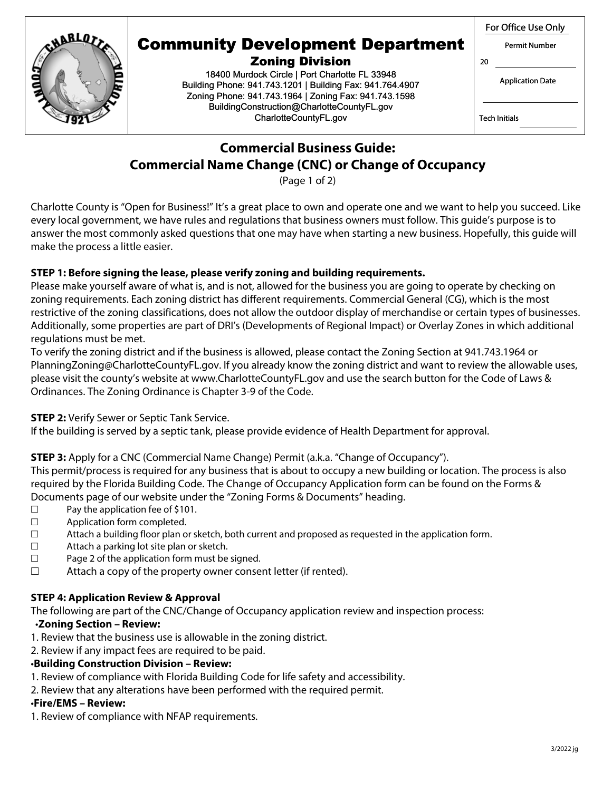## Permit Number



# Community Development Department

Zoning Division 18400 Murdock Circle | Port Charlotte FL 33948 Building Phone: 941.743.1201 | Building Fax: 941.764.4907 Zoning Phone: 941.743.1964 | Zoning Fax: 941.743.1598 BuildingConstruction@CharlotteCountyFL.gov CharlotteCountyFL.gov

Application Date

Tech Initials

20

## **Commercial Business Guide: Commercial Name Change (CNC) or Change of Occupancy**

(Page 1 of 2)

Charlotte County is "Open for Business!" It's a great place to own and operate one and we want to help you succeed. Like every local government, we have rules and regulations that business owners must follow. This guide's purpose is to answer the most commonly asked questions that one may have when starting a new business. Hopefully, this guide will make the process a little easier.

## **STEP 1: Before signing the lease, please verify zoning and building requirements.**

Please make yourself aware of what is, and is not, allowed for the business you are going to operate by checking on zoning requirements. Each zoning district has different requirements. Commercial General (CG), which is the most restrictive of the zoning classifications, does not allow the outdoor display of merchandise or certain types of businesses. Additionally, some properties are part of DRI's (Developments of Regional Impact) or Overlay Zones in which additional regulations must be met.

To verify the zoning district and if the business is allowed, please contact the Zoning Section at 941.743.1964 or PlanningZoning@CharlotteCountyFL.gov. If you already know the zoning district and want to review the allowable uses, please visit the county's website at www.CharlotteCountyFL.gov and use the search button for the Code of Laws & Ordinances. The Zoning Ordinance is Chapter 3-9 of the Code.

## **STEP 2:** Verify Sewer or Septic Tank Service.

If the building is served by a septic tank, please provide evidence of Health Department for approval.

## **STEP 3:** Apply for a CNC (Commercial Name Change) Permit (a.k.a. "Change of Occupancy").

This permit/process is required for any business that is about to occupy a new building or location. The process is also required by the Florida Building Code. The Change of Occupancy Application form can be found on the Forms & Documents page of our website under the "Zoning Forms & Documents" heading.

- □ Pay the application fee of \$101.
- □ Application form completed.
- $\square$  Attach a building floor plan or sketch, both current and proposed as requested in the application form.
- □ Attach a parking lot site plan or sketch.
- $\square$  Page 2 of the application form must be signed.
- $\square$  Attach a copy of the property owner consent letter (if rented).

## **STEP 4: Application Review & Approval**

The following are part of the CNC/Change of Occupancy application review and inspection process:

## •**Zoning Section – Review:**

- 1. Review that the business use is allowable in the zoning district.
- 2. Review if any impact fees are required to be paid.

## •**Building Construction Division – Review:**

- 1. Review of compliance with Florida Building Code for life safety and accessibility.
- 2. Review that any alterations have been performed with the required permit.

## •**Fire/EMS – Review:**

1. Review of compliance with NFAP requirements.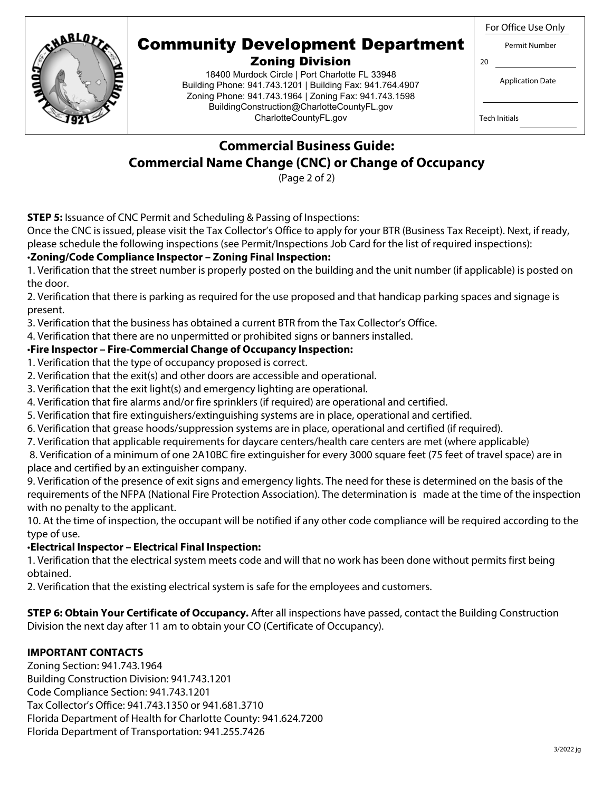For Office Use Only



## Community Development Department

## Zoning Division

18400 Murdock Circle | Port Charlotte FL 33948 Building Phone: 941.743.1201 | Building Fax: 941.764.4907 Zoning Phone: 941.743.1964 | Zoning Fax: 941.743.1598 BuildingConstruction@CharlotteCountyFL.gov CharlotteCountyFL.gov

Permit Number

Application Date

Tech Initials

20

## **Commercial Business Guide: Commercial Name Change (CNC) or Change of Occupancy**

(Page 2 of 2)

**STEP 5:** Issuance of CNC Permit and Scheduling & Passing of Inspections:

Once the CNC is issued, please visit the Tax Collector's Office to apply for your BTR (Business Tax Receipt). Next, if ready, please schedule the following inspections (see Permit/Inspections Job Card for the list of required inspections):

#### •**Zoning/Code Compliance Inspector – Zoning Final Inspection:**

1. Verification that the street number is properly posted on the building and the unit number (if applicable) is posted on the door.

2. Verification that there is parking as required for the use proposed and that handicap parking spaces and signage is present.

3. Verification that the business has obtained a current BTR from the Tax Collector's Office.

4. Verification that there are no unpermitted or prohibited signs or banners installed.

#### •**Fire Inspector – Fire-Commercial Change of Occupancy Inspection:**

- 1. Verification that the type of occupancy proposed is correct.
- 2. Verification that the exit(s) and other doors are accessible and operational.
- 3. Verification that the exit light(s) and emergency lighting are operational.
- 4. Verification that fire alarms and/or fire sprinklers (if required) are operational and certified.
- 5. Verification that fire extinguishers/extinguishing systems are in place, operational and certified.
- 6. Verification that grease hoods/suppression systems are in place, operational and certified (if required).
- 7. Verification that applicable requirements for daycare centers/health care centers are met (where applicable)

 8. Verification of a minimum of one 2A10BC fire extinguisher for every 3000 square feet (75 feet of travel space) are in place and certified by an extinguisher company.

9. Verification of the presence of exit signs and emergency lights. The need for these is determined on the basis of the requirements of the NFPA (National Fire Protection Association). The determination is made at the time of the inspection with no penalty to the applicant.

10. At the time of inspection, the occupant will be notified if any other code compliance will be required according to the type of use.

## •**Electrical Inspector – Electrical Final Inspection:**

1. Verification that the electrical system meets code and will that no work has been done without permits first being obtained.

2. Verification that the existing electrical system is safe for the employees and customers.

**STEP 6: Obtain Your Certificate of Occupancy.** After all inspections have passed, contact the Building Construction Division the next day after 11 am to obtain your CO (Certificate of Occupancy).

## **IMPORTANT CONTACTS**

Zoning Section: 941.743.1964 Building Construction Division: 941.743.1201 Code Compliance Section: 941.743.1201 Tax Collector's Office: 941.743.1350 or 941.681.3710 Florida Department of Health for Charlotte County: 941.624.7200 Florida Department of Transportation: 941.255.7426